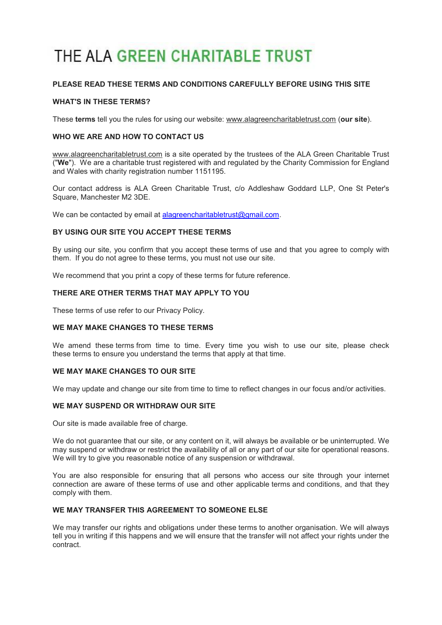# THE ALA GREEN CHARITABLE TRUST

# **PLEASE READ THESE TERMS AND CONDITIONS CAREFULLY BEFORE USING THIS SITE**

# **WHAT'S IN THESE TERMS?**

These **terms** tell you the rules for using our website: www.alagreencharitabletrust.com (**our site**).

## **WHO WE ARE AND HOW TO CONTACT US**

www.alagreencharitabletrust.com is a site operated by the trustees of the ALA Green Charitable Trust ("**We**"). We are a charitable trust registered with and regulated by the Charity Commission for England and Wales with charity registration number 1151195.

Our contact address is ALA Green Charitable Trust, c/o Addleshaw Goddard LLP, One St Peter's Square, Manchester M2 3DE.

We can be contacted by email at alagreencharitabletrust@gmail.com.

# **BY USING OUR SITE YOU ACCEPT THESE TERMS**

By using our site, you confirm that you accept these terms of use and that you agree to comply with them. If you do not agree to these terms, you must not use our site.

We recommend that you print a copy of these terms for future reference.

## **THERE ARE OTHER TERMS THAT MAY APPLY TO YOU**

These terms of use refer to our Privacy Policy.

#### **WE MAY MAKE CHANGES TO THESE TERMS**

We amend these terms from time to time. Every time you wish to use our site, please check these terms to ensure you understand the terms that apply at that time.

## **WE MAY MAKE CHANGES TO OUR SITE**

We may update and change our site from time to time to reflect changes in our focus and/or activities.

## **WE MAY SUSPEND OR WITHDRAW OUR SITE**

Our site is made available free of charge.

We do not guarantee that our site, or any content on it, will always be available or be uninterrupted. We may suspend or withdraw or restrict the availability of all or any part of our site for operational reasons. We will try to give you reasonable notice of any suspension or withdrawal.

You are also responsible for ensuring that all persons who access our site through your internet connection are aware of these terms of use and other applicable terms and conditions, and that they comply with them.

# **WE MAY TRANSFER THIS AGREEMENT TO SOMEONE ELSE**

We may transfer our rights and obligations under these terms to another organisation. We will always tell you in writing if this happens and we will ensure that the transfer will not affect your rights under the contract.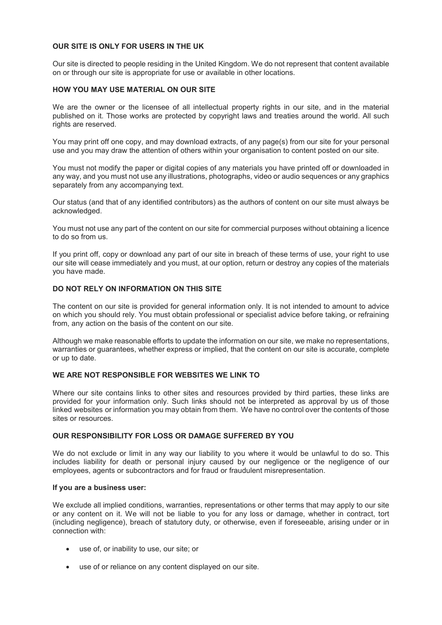## **OUR SITE IS ONLY FOR USERS IN THE UK**

Our site is directed to people residing in the United Kingdom. We do not represent that content available on or through our site is appropriate for use or available in other locations.

#### **HOW YOU MAY USE MATERIAL ON OUR SITE**

We are the owner or the licensee of all intellectual property rights in our site, and in the material published on it. Those works are protected by copyright laws and treaties around the world. All such rights are reserved.

You may print off one copy, and may download extracts, of any page(s) from our site for your personal use and you may draw the attention of others within your organisation to content posted on our site.

You must not modify the paper or digital copies of any materials you have printed off or downloaded in any way, and you must not use any illustrations, photographs, video or audio sequences or any graphics separately from any accompanying text.

Our status (and that of any identified contributors) as the authors of content on our site must always be acknowledged.

You must not use any part of the content on our site for commercial purposes without obtaining a licence to do so from us.

If you print off, copy or download any part of our site in breach of these terms of use, your right to use our site will cease immediately and you must, at our option, return or destroy any copies of the materials you have made.

# **DO NOT RELY ON INFORMATION ON THIS SITE**

The content on our site is provided for general information only. It is not intended to amount to advice on which you should rely. You must obtain professional or specialist advice before taking, or refraining from, any action on the basis of the content on our site.

Although we make reasonable efforts to update the information on our site, we make no representations, warranties or guarantees, whether express or implied, that the content on our site is accurate, complete or up to date.

## **WE ARE NOT RESPONSIBLE FOR WEBSITES WE LINK TO**

Where our site contains links to other sites and resources provided by third parties, these links are provided for your information only. Such links should not be interpreted as approval by us of those linked websites or information you may obtain from them. We have no control over the contents of those sites or resources.

#### **OUR RESPONSIBILITY FOR LOSS OR DAMAGE SUFFERED BY YOU**

We do not exclude or limit in any way our liability to you where it would be unlawful to do so. This includes liability for death or personal injury caused by our negligence or the negligence of our employees, agents or subcontractors and for fraud or fraudulent misrepresentation.

#### **If you are a business user:**

We exclude all implied conditions, warranties, representations or other terms that may apply to our site or any content on it. We will not be liable to you for any loss or damage, whether in contract, tort (including negligence), breach of statutory duty, or otherwise, even if foreseeable, arising under or in connection with:

- use of, or inability to use, our site; or
- use of or reliance on any content displayed on our site.